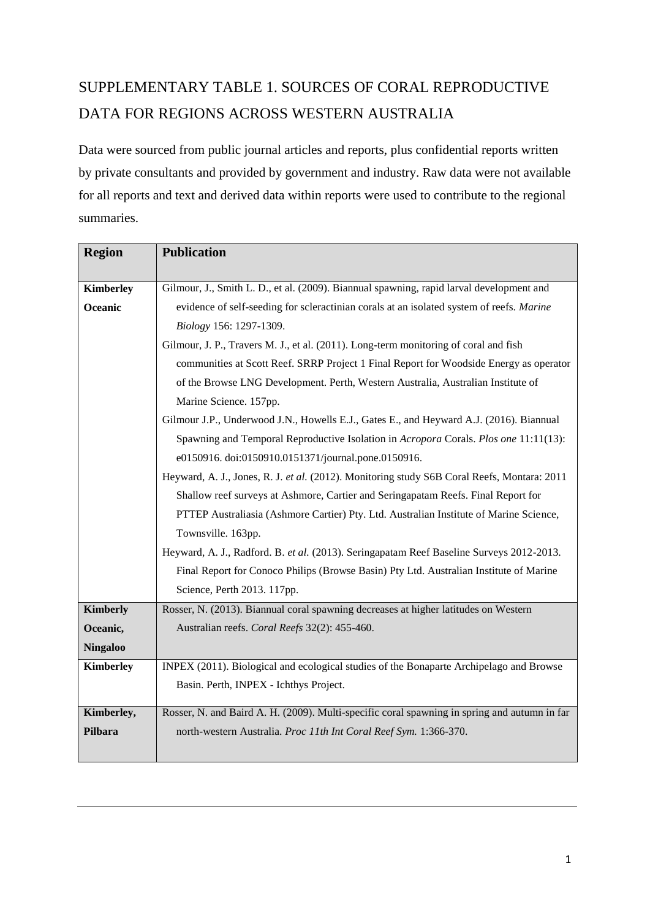## SUPPLEMENTARY TABLE 1. SOURCES OF CORAL REPRODUCTIVE DATA FOR REGIONS ACROSS WESTERN AUSTRALIA

Data were sourced from public journal articles and reports, plus confidential reports written by private consultants and provided by government and industry. Raw data were not available for all reports and text and derived data within reports were used to contribute to the regional summaries.

| <b>Region</b>    | <b>Publication</b>                                                                           |
|------------------|----------------------------------------------------------------------------------------------|
|                  |                                                                                              |
| Kimberley        | Gilmour, J., Smith L. D., et al. (2009). Biannual spawning, rapid larval development and     |
| Oceanic          | evidence of self-seeding for scleractinian corals at an isolated system of reefs. Marine     |
|                  | Biology 156: 1297-1309.                                                                      |
|                  | Gilmour, J. P., Travers M. J., et al. (2011). Long-term monitoring of coral and fish         |
|                  | communities at Scott Reef. SRRP Project 1 Final Report for Woodside Energy as operator       |
|                  | of the Browse LNG Development. Perth, Western Australia, Australian Institute of             |
|                  | Marine Science. 157pp.                                                                       |
|                  | Gilmour J.P., Underwood J.N., Howells E.J., Gates E., and Heyward A.J. (2016). Biannual      |
|                  | Spawning and Temporal Reproductive Isolation in Acropora Corals. Plos one 11:11(13):         |
|                  | e0150916. doi:0150910.0151371/journal.pone.0150916.                                          |
|                  | Heyward, A. J., Jones, R. J. et al. (2012). Monitoring study S6B Coral Reefs, Montara: 2011  |
|                  | Shallow reef surveys at Ashmore, Cartier and Seringapatam Reefs. Final Report for            |
|                  | PTTEP Australiasia (Ashmore Cartier) Pty. Ltd. Australian Institute of Marine Science,       |
|                  | Townsville. 163pp.                                                                           |
|                  | Heyward, A. J., Radford. B. et al. (2013). Seringapatam Reef Baseline Surveys 2012-2013.     |
|                  | Final Report for Conoco Philips (Browse Basin) Pty Ltd. Australian Institute of Marine       |
|                  | Science, Perth 2013. 117pp.                                                                  |
| <b>Kimberly</b>  | Rosser, N. (2013). Biannual coral spawning decreases at higher latitudes on Western          |
| Oceanic,         | Australian reefs. Coral Reefs 32(2): 455-460.                                                |
| <b>Ningaloo</b>  |                                                                                              |
| <b>Kimberley</b> | INPEX (2011). Biological and ecological studies of the Bonaparte Archipelago and Browse      |
|                  | Basin. Perth, INPEX - Ichthys Project.                                                       |
| Kimberley,       | Rosser, N. and Baird A. H. (2009). Multi-specific coral spawning in spring and autumn in far |
| Pilbara          |                                                                                              |
|                  | north-western Australia. Proc 11th Int Coral Reef Sym. 1:366-370.                            |
|                  |                                                                                              |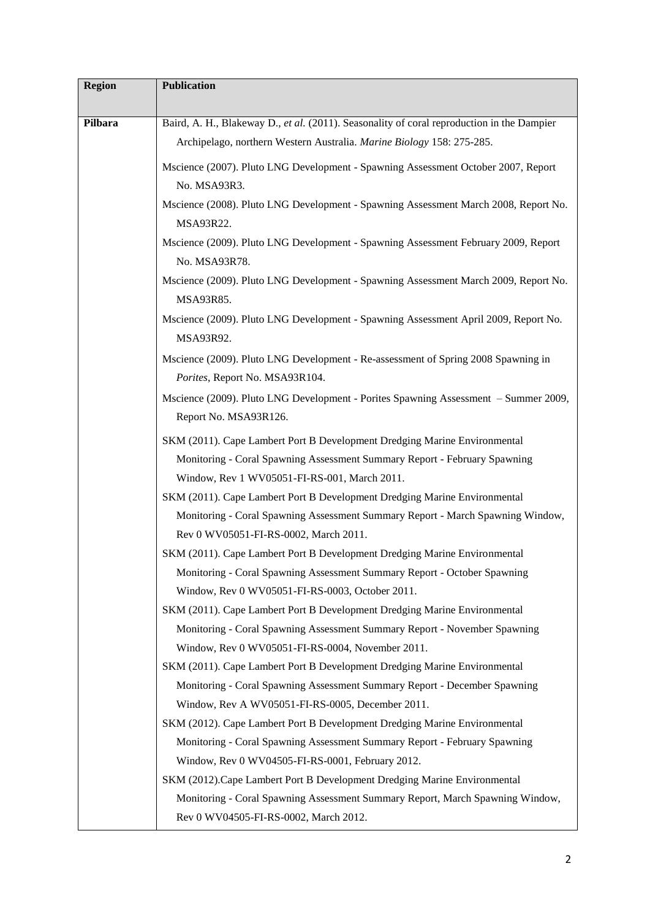| <b>Region</b> | Publication                                                                                                                   |
|---------------|-------------------------------------------------------------------------------------------------------------------------------|
| Pilbara       | Baird, A. H., Blakeway D., et al. (2011). Seasonality of coral reproduction in the Dampier                                    |
|               | Archipelago, northern Western Australia. Marine Biology 158: 275-285.                                                         |
|               | Mscience (2007). Pluto LNG Development - Spawning Assessment October 2007, Report                                             |
|               | No. MSA93R3.                                                                                                                  |
|               | Mscience (2008). Pluto LNG Development - Spawning Assessment March 2008, Report No.<br>MSA93R22.                              |
|               | Mscience (2009). Pluto LNG Development - Spawning Assessment February 2009, Report<br>No. MSA93R78.                           |
|               | Mscience (2009). Pluto LNG Development - Spawning Assessment March 2009, Report No.<br>MSA93R85.                              |
|               | Mscience (2009). Pluto LNG Development - Spawning Assessment April 2009, Report No.<br>MSA93R92.                              |
|               | Mscience (2009). Pluto LNG Development - Re-assessment of Spring 2008 Spawning in<br>Porites, Report No. MSA93R104.           |
|               | Mscience (2009). Pluto LNG Development - Porites Spawning Assessment - Summer 2009,<br>Report No. MSA93R126.                  |
|               | SKM (2011). Cape Lambert Port B Development Dredging Marine Environmental                                                     |
|               | Monitoring - Coral Spawning Assessment Summary Report - February Spawning                                                     |
|               | Window, Rev 1 WV05051-FI-RS-001, March 2011.                                                                                  |
|               | SKM (2011). Cape Lambert Port B Development Dredging Marine Environmental                                                     |
|               | Monitoring - Coral Spawning Assessment Summary Report - March Spawning Window,                                                |
|               | Rev 0 WV05051-FI-RS-0002, March 2011.                                                                                         |
|               | SKM (2011). Cape Lambert Port B Development Dredging Marine Environmental                                                     |
|               | Monitoring - Coral Spawning Assessment Summary Report - October Spawning                                                      |
|               | Window, Rev 0 WV05051-FI-RS-0003, October 2011.                                                                               |
|               | SKM (2011). Cape Lambert Port B Development Dredging Marine Environmental                                                     |
|               | Monitoring - Coral Spawning Assessment Summary Report - November Spawning                                                     |
|               | Window, Rev 0 WV05051-FI-RS-0004, November 2011.                                                                              |
|               | SKM (2011). Cape Lambert Port B Development Dredging Marine Environmental                                                     |
|               | Monitoring - Coral Spawning Assessment Summary Report - December Spawning                                                     |
|               | Window, Rev A WV05051-FI-RS-0005, December 2011.                                                                              |
|               | SKM (2012). Cape Lambert Port B Development Dredging Marine Environmental                                                     |
|               | Monitoring - Coral Spawning Assessment Summary Report - February Spawning<br>Window, Rev 0 WV04505-FI-RS-0001, February 2012. |
|               | SKM (2012). Cape Lambert Port B Development Dredging Marine Environmental                                                     |
|               | Monitoring - Coral Spawning Assessment Summary Report, March Spawning Window,                                                 |
|               | Rev 0 WV04505-FI-RS-0002, March 2012.                                                                                         |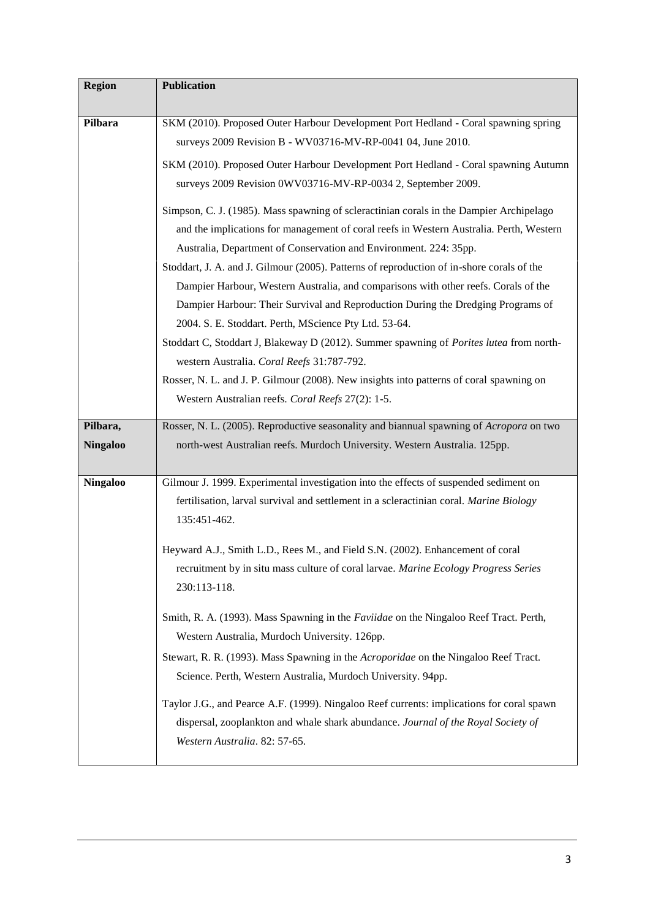| <b>Region</b>   | <b>Publication</b>                                                                                                                                                                                                                                                                                                                                                                                                                                                                                                                                                                                                                                                                                                                                                                                                                                                                |
|-----------------|-----------------------------------------------------------------------------------------------------------------------------------------------------------------------------------------------------------------------------------------------------------------------------------------------------------------------------------------------------------------------------------------------------------------------------------------------------------------------------------------------------------------------------------------------------------------------------------------------------------------------------------------------------------------------------------------------------------------------------------------------------------------------------------------------------------------------------------------------------------------------------------|
| Pilbara         | SKM (2010). Proposed Outer Harbour Development Port Hedland - Coral spawning spring<br>surveys 2009 Revision B - WV03716-MV-RP-0041 04, June 2010.                                                                                                                                                                                                                                                                                                                                                                                                                                                                                                                                                                                                                                                                                                                                |
|                 | SKM (2010). Proposed Outer Harbour Development Port Hedland - Coral spawning Autumn<br>surveys 2009 Revision 0WV03716-MV-RP-0034 2, September 2009.                                                                                                                                                                                                                                                                                                                                                                                                                                                                                                                                                                                                                                                                                                                               |
|                 | Simpson, C. J. (1985). Mass spawning of scleractinian corals in the Dampier Archipelago<br>and the implications for management of coral reefs in Western Australia. Perth, Western<br>Australia, Department of Conservation and Environment. 224: 35pp.<br>Stoddart, J. A. and J. Gilmour (2005). Patterns of reproduction of in-shore corals of the<br>Dampier Harbour, Western Australia, and comparisons with other reefs. Corals of the<br>Dampier Harbour: Their Survival and Reproduction During the Dredging Programs of<br>2004. S. E. Stoddart. Perth, MScience Pty Ltd. 53-64.<br>Stoddart C, Stoddart J, Blakeway D (2012). Summer spawning of Porites lutea from north-<br>western Australia. Coral Reefs 31:787-792.<br>Rosser, N. L. and J. P. Gilmour (2008). New insights into patterns of coral spawning on<br>Western Australian reefs. Coral Reefs 27(2): 1-5. |
| Pilbara,        | Rosser, N. L. (2005). Reproductive seasonality and biannual spawning of Acropora on two                                                                                                                                                                                                                                                                                                                                                                                                                                                                                                                                                                                                                                                                                                                                                                                           |
| <b>Ningaloo</b> | north-west Australian reefs. Murdoch University. Western Australia. 125pp.                                                                                                                                                                                                                                                                                                                                                                                                                                                                                                                                                                                                                                                                                                                                                                                                        |
| <b>Ningaloo</b> | Gilmour J. 1999. Experimental investigation into the effects of suspended sediment on<br>fertilisation, larval survival and settlement in a scleractinian coral. Marine Biology<br>135:451-462.<br>Heyward A.J., Smith L.D., Rees M., and Field S.N. (2002). Enhancement of coral<br>recruitment by in situ mass culture of coral larvae. Marine Ecology Progress Series<br>230:113-118.                                                                                                                                                                                                                                                                                                                                                                                                                                                                                          |
|                 | Smith, R. A. (1993). Mass Spawning in the <i>Faviidae</i> on the Ningaloo Reef Tract. Perth,<br>Western Australia, Murdoch University. 126pp.<br>Stewart, R. R. (1993). Mass Spawning in the Acroporidae on the Ningaloo Reef Tract.<br>Science. Perth, Western Australia, Murdoch University. 94pp.<br>Taylor J.G., and Pearce A.F. (1999). Ningaloo Reef currents: implications for coral spawn<br>dispersal, zooplankton and whale shark abundance. Journal of the Royal Society of<br>Western Australia. 82: 57-65.                                                                                                                                                                                                                                                                                                                                                           |